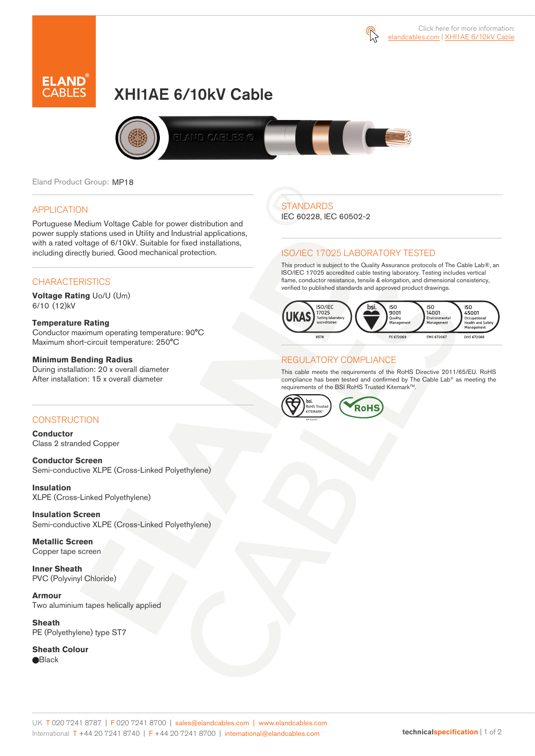



# XHI1AE 6/10kV Cable



Eland Product Group: MP18

### APPLICATION

Portuguese Medium Voltage Cable for power distribution and power supply stations used in Utility and Industrial applications, with a rated voltage of 6/10kV. Suitable for fixed installations, including directly buried. Good mechanical protection.

### **CHARACTERISTICS**

**Voltage Rating** Uo/U (Um) 6/10 (12)kV

### **Temperature Rating**

Conductor maximum operating temperature: 90°C Maximum short-circuit temperature: 250°C

### **Minimum Bending Radius**

During installation: 20 x overall diameter After installation: 15 x overall diameter

### CONSTRUCTION

**Conductor**  Class 2 stranded Copper

**Conductor Screen** Semi-conductive XLPE (Cross-Linked Polyethylene)

**Insulation** XLPE (Cross-Linked Polyethylene)

**Insulation Screen** Semi-conductive XLPE (Cross-Linked Polyethylene)

**Metallic Screen**  Copper tape screen

**Inner Sheath** PVC (Polyvinyl Chloride)

**Armour** Two aluminium tapes helically applied

**Sheath** PE (Polyethylene) type ST7

**Sheath Colour Black** 

## **STANDARDS**

IEC 60228, IEC 60502-2

### ISO/IEC 17025 LABORATORY TESTED

This product is subject to the Quality Assurance protocols of The Cable Lab®, an ISO/IEC 17025 accredited cable testing laboratory. Testing includes vertical flame, conductor resistance, tensile & elongation, and dimensional consistency, verified to published standards and approved product drawings.



### REGULATORY COMPLIANCE

This cable meets the requirements of the RoHS Directive 2011/65/EU. RoHS compliance has been tested and confirmed by The Cable Lab® as meeting the requirements of the BSI RoHS Trusted KitemarkTM.